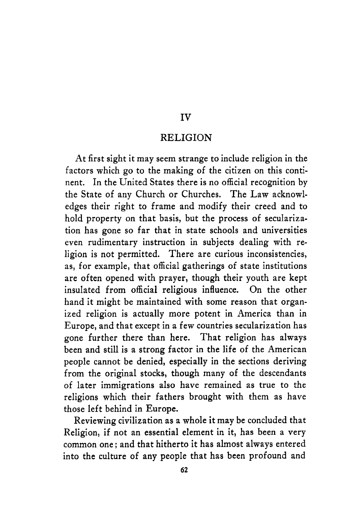#### **IV**

#### **RELIGION**

At first sight it may seem strange to include religion in the factors which go to the making of the citizen on this continent. In the United States there is no official recognition by the State of any Church or Churches. The Law acknowledges their right to frame and modify their creed and to hold property on that basis, but the process of secularization has gone so far that in state schools and universities even rudimentary instruction in subjects dealing with religion is not permitted. There are curious inconsistencies, as, for example, that official gatherings of state institutions are often opened with prayer, though their youth are kept insulated from official religious influence. On the other hand it might be maintained with some reason that organized religion is actually more potent in America than in Europe, and that except in a few countries secularization has gone further there than here. That religion has always been and still is a strong factor in the life of the American people cannot be denied, especially in the sections deriving from the original stocks, though many **of** the descendants of later immigrations also have remained as true to the religions which their fathers brought with them as have those left behind in Europe.

Reviewing civilization as a whole it may be concluded that Religion, if not an essential element in it, has been a very common one ; and that hitherto it has almost always entered into the culture of any people that has been profound and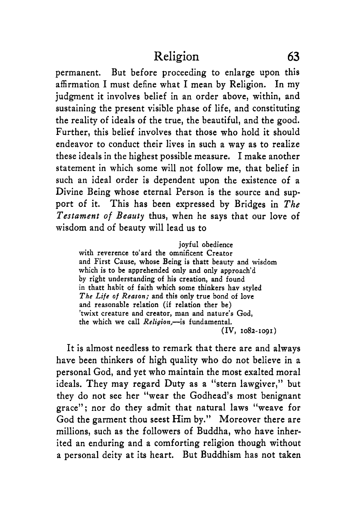permanent. But before proceeding to enlarge upon this affirmation I must define what I mean by Religion. In my judgment it involves belief in an order above, within, and sustaining the present visible phase of life, and constituting the reality of ideals of the true, the beautiful, and the good. Further, this belief involves that those who hold it should endeavor to conduct their lives in such a way as to realize these ideals in the highest possible measure. I make another statement in which some will not follow me, that belief in such an ideal order is dependent upon the existence of a Divine Being whose eternal Person is the source and support of it. This has been expressed by Bridges in *The Testament of Beauty* thus, when he says that our love of wisdom and of beauty will lead us to

**joyful obedience with reverence to'ard the omnificent Creator and First Cause, whose Being is thatt beauty and wisdom which is to be apprehended only and only approach'd by right understanding of his creation, and found in thatt habit of faith which some thinkers hav styled The Life of** *Reason:* **and this only true bond of love and reasonable relation (if relation ther be) 'twixt creature and creator, man and nature's God, the which we call Religion,-is fundamental. (IV, 1082-1091)** 

It is almost needless to remark that there are and always have been thinkers of high quality who do not believe in a personal God, and yet who maintain the most exalted moral ideals. They may regard Duty as a "stern lawgiver," but they do not see her "wear the Godhead's most benignant grace"; nor do they admit that natural laws "weave for God the garment thou seest Him by." Moreover there are millions, such as the followers of Buddha, who have inherited an enduring and a comforting religion though without a personal deity at its heart. But Buddhism has not taken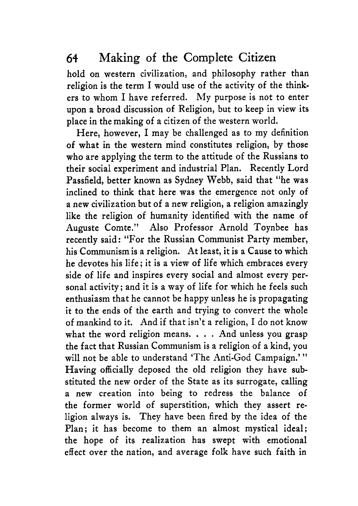hold on western civilization, and philosophy rather than religion is the term I would use of the activity of the thinkers to whom I have referred. My purpose is not to enter upon a broad discussion **of** Religion, but to keep in view its place in the making of a citizen of the western world.

Here, however, I may be challenged as to my definition of what in the western mind constitutes religion, by those who are applying the term to the attitude **of** the Russians to their social experiment and industrial Plan. Recently Lord Passfield, better known as Sydney Webb, said that "he was inclined to think that here was the emergence not only of a new civilization but of a new religion, a religion amazingly like the religion of humanity identified with the name **of**  Auguste Comte." Also Professor Arnold Toynbee has recently said: "For the Russian Communist Party member, his Communism is a religion. At least, it **is** a Cause to which he devotes his life; it is a view of life which embraces every side *of* life and inspires every social and almost every personal activity; and it is a way of life for which he feels such enthusiasm that he cannot be happy unless he is propagating it to the ends of the earth and trying to convert the whole of mankind to it. And if that isn't a religion, I do not know what the word religion means.  $\ldots$  And unless you grasp the fact that Russian Communism is a religion of a kind, you will not be able to understand 'The Anti-God Campaign.'" Having officially deposed the old religion they have substituted the new order **of** the State as its surrogate, calling a new creation into being to redress the balance of the former world of superstition, which they assert religion always is. They have been fired by the idea of the Plan; it has become to them an almost mystical ideal; the hope of its realization has swept with emotional effect over the nation, and average folk have such faith in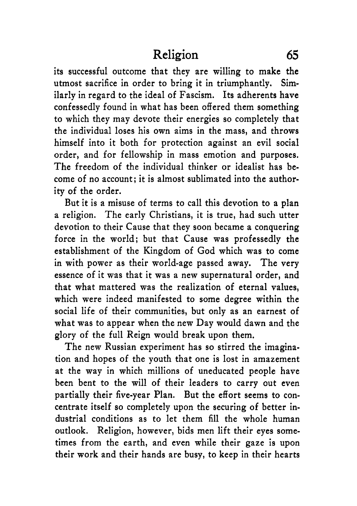its successful outcome that they are willing to make the utmost sacrifice in order to bring it in triumphantly. Similarly in regard to the ideal of Fascism. Its adherents have confessedly found in what has been offered them something to which they may devote their energies so completely that the individual loses his own aims in the mass, and throws himself into it both for protection against an evil social order, and for fellowship in mass emotion and purposes. The freedom of the individual thinker or idealist has become of no account; it is almost sublimated into the authority of the order.

But it is a misuse of terms to call this devotion to a plan a religion. The early Christians, it is true, had such utter devotion to their Cause that they soon became a conquering force in the world; but that Cause was professedly the establishment of the Kingdom of God which was to come in with power as their world-age passed away. The very essence of it was that it was a new supernatural order, and that what mattered was the realization of eternal values, which were indeed manifested to some degree within the social life of their communities, but only as an earnest of what was to appear when the new Day would dawn and the glory of the full Reign would break upon them.

The new Russian experiment has so stirred the imagination and hopes of the youth that one is lost in amazement at the way in which millions of uneducated people have been bent to the will of their leaders to carry out even partially their five-year Plan. But the effort seems to concentrate itself so completely upon the securing of better industrial conditions as to let them fill the whole human outlook. Religion, however, bids men lift their eyes sometimes from the earth, and even while their gaze is upon their work and their hands are busy, to keep in their hearts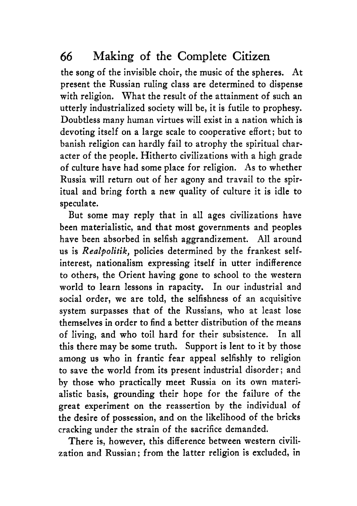the song of the invisible choir, the music of the spheres. At present the Russian ruling class are determined to dispense with religion. What the result of the attainment of such an utterly industrialized society will be, it is futile to prophesy. Doubtless many human virtues will exist in a nation which is devoting itself on a large scale to cooperative effort; but to banish religion can hardly fail to atrophy the spiritual character of the people. Hitherto civilizations with a high grade of culture have had some place for religion. As to whether Russia will return out of her agony and travail to the spiritual and bring forth a new quality of culture it is idle to speculate.

But some may reply that in all ages civilizations have been materialistic, and that most governments and peoples have been absorbed in selfish aggrandizement. All around us is *Realpolitik*, policies determined by the frankest selfinterest, nationalism expressing itself in utter indifference to others, the Orient having gone to school to the western world to learn lessons in rapacity. In our industrial and social order, we are told, the selfishness of an acquisitive system surpasses that of the Russians, who at least lose themselves in order to find a better distribution of the means of living, and who toil hard for their subsistence. In all this there may be some truth. Support is lent to it by those among us who in frantic fear appeal selfishly to religion to save the world from its present industrial disorder; and by those who practically meet Russia on its own materialistic basis, grounding their hope for the failure of the great experiment on the reassertion by the individual of the desire of possession, and on the likelihood of the bricks cracking under the strain of the sacrifice demanded.

There is, however, this difference between western civilization and Russian; from the latter religion is excluded, in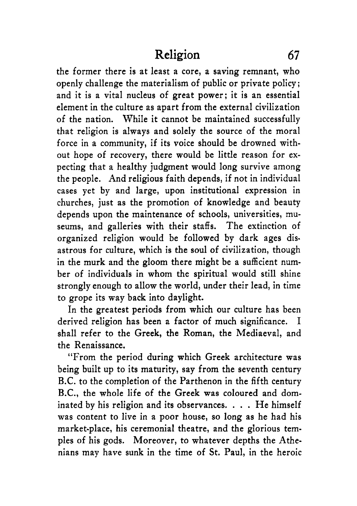the former there is at least a core, a saving remnant, who openly challenge the materialism of public or private policy ; and it is a vital nucleus of great power; it is an essential element in the culture as apart from the external civilization of the nation. While it cannot be maintained successfully that religion is always and solely the source of the moral force in a community, if its voice should be drowned without hope of recovery, there would be little reason for expecting that a healthy judgment would long survive among the people. And religious faith depends, if not in individual cases yet by and large, upon institutional expression in churches, just as the promotion of knowledge and beauty depends upon the maintenance of schools, universities, museums, and galleries with their staffs. The extinction of organized religion would be followed by dark ages disastrous for culture, which is the soul of civilization, though in the murk and the gloom there might be a sufficient number of individuals in whom the spiritual would still shine strongly enough to allow the world, under their lead, in time to grope its way back into daylight.

In the greatest periods from which our culture has been derived religion has been a factor of much significance. I shall refer to the Greek, the Roman, the Mediaeval, and the Renaissance.

"From the period during which Greek architecture was being built up to its maturity, say from the seventh century B.C. to the completion of the Parthenon in the fifth century B.C., the whole life **of** the Greek was coloured and dominated by his religion and its observances. . . . He himself was content to live in a poor house, so long as he had his market-place, his ceremonial theatre, and the glorious temples of his gods. Moreover, to whatever depths the Athenians may have sunk in the time of St. Paul, in the heroic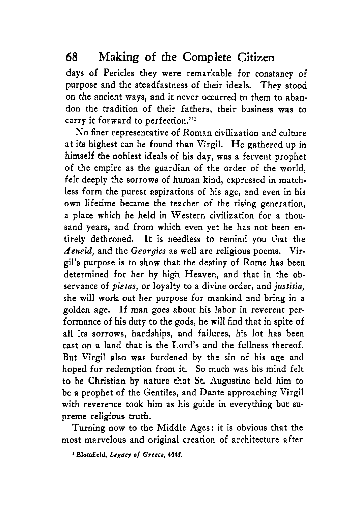days of Pericles they were remarkable for constancy of purpose and the steadfastness of their ideals. They stood on the ancient ways, and it never occurred to them to abandon the tradition of their fathers, their business was to carry it forward to perfection."'

No finer representative of Roman civilization and culture at its highest can be found than Virgil. He gathered up in himself the noblest ideals of his day, was a fervent prophet of the empire as the guardian of the order of the world, felt deeply the sorrows of human kind, expressed in matchless form the purest aspirations of his age, and even in his own lifetime became the teacher of the rising generation, a place which he held in Western civilization for a thousand years, and from which even yet he has not been entirely dethroned. It is needless to remind you that the *Aeneid,* and the *Georgia* as well are religious poems. Virgil's purpose is to show that the destiny of Rome has been determined for her by high Heaven, and that in the observance of *pietas,* or loyalty to a divine order, and *justitia,*  she will work out her purpose for mankind and bring in a golden age. If man goes about his labor in reverent performance of his duty to the gods, he will find that in spite of all its sorrows, hardships, and failures, his lot has been cast on a land that is the Lord's and the fullness thereof. But Virgil also was burdened by the sin of his age and hoped for redemption from it. So much was his mind felt to be Christian by nature that St. Augustine held him to be a prophet of the Gentiles, and Dante approaching Virgil with reverence took him as his guide in everything but supreme religious truth.

Turning now to the Middle Ages: it is obvious that the most marvelous and original creation of architecture after

**1 Blomfield,** *Legucy of* **Greece, 404f.**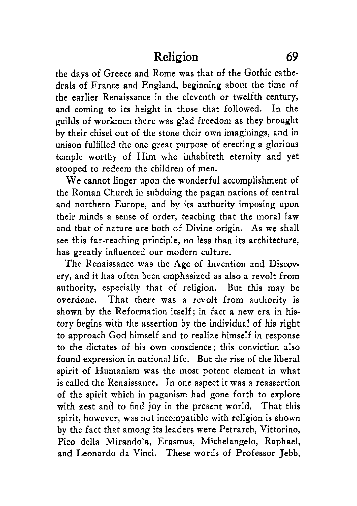the days of Greece and Rome was that of the Gothic cathedrals of France and England, beginning about the time of the earlier Renaissance in the eleventh or twelfth century, and coming to its height in those that followed. In the guilds of workmen there was glad freedom as they brought by their chisel out of the stone their own imaginings, and in unison fulfilled the one great purpose of erecting a glorious temple worthy of Him who inhabiteth eternity and yet stooped to redeem the children of men.

We cannot linger upon the wonderful accomplishment of the Roman Church in subduing the pagan nations of central and northern Europe, and by its authority imposing upon their minds a sense of order, teaching that the moral law and that of nature are both of Divine origin. As we shall see this far-reaching principle, no less than its architecture, has greatly influenced our modern culture.

The Renaissance was the Age of Invention and Discovery, and it has often been emphasized as also a revolt from authority, especially that of religion. But this may be overdone. That there was a revolt from authority is shown by the Reformation itself; in fact a new era in history begins with the assertion by the individual of his right to approach God himself and to realize himself in response to the dictates of his own conscience; this conviction also found expression in national life. But the rise of the liberal spirit of Humanism was the most potent element in what is called the Renaissance. In one aspect it was a reassertion of the spirit which in paganism had gone forth to explore with zest and to find joy in the present world. That this spirit, however, was not incompatible with religion is shown by the fact that among its leaders were Petrarch, Vittorino, Pic0 della Mirandola, Erasmus, Michelangelo, Raphael, and Leonard0 da Vinci. These words of Professor Jebb,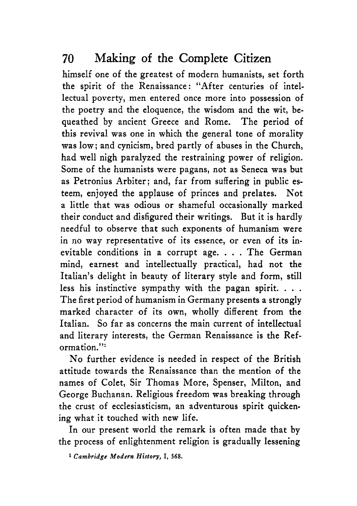himself one of the greatest of modern humanists, set forth the spirit of the Renaissance : "After centuries of intellectual poverty, men entered once more into possession of the poetry and the eloquence, the wisdom and the wit, bequeathed by ancient Greece and Rome. The period of this revival was one in which the general tone of morality was low; and cynicism, bred partly of abuses in the Church, had well nigh paralyzed the restraining power of religion. Some of the humanists were pagans, not as Seneca was but as Petronius Arbiter; and, far from suffering in public esteem, enjoyed the applause of princes and prelates. Not a little that was odious or shameful occasionally marked their conduct and disfigured their writings. But it is hardly needful to observe that such exponents of humanism were in no way representative of its essence, or even of its inevitable conditions in a corrupt age. . . . The German mind, earnest and intellectually practical, had not the Italian's delight in beauty of literary style and form, still less his instinctive sympathy with the pagan spirit. . . . The first period of humanism in Germany presents a strongly marked character of its own, wholly different from the Italian. So far as concerns the main current of intellectual and literary interests, the German Renaissance is the Reformation."<sup>1</sup>

No further evidence is needed in respect of the British attitude towards the Renaissance than the mention of the names of Colet, Sir Thomas More, Spenser, Milton, and George Buchanan. Religious freedom was breaking through the crust of ecclesiasticism, an adventurous spirit quickening what it touched with new life.

In our present world the remark is often made that **by**  the process of enlightenment religion is gradually lessening

**1** *Cambridge Modern* **History, I, 568.**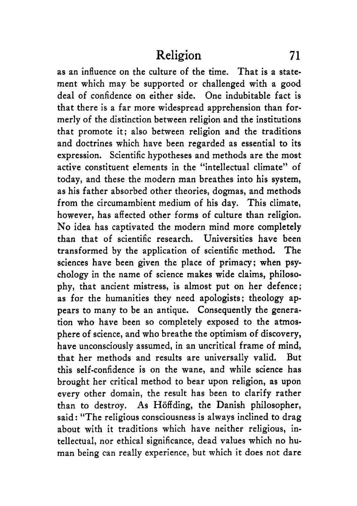as an influence on the culture of the time. That is a statement which may be supported or challenged with a good deal of confidence on either side. One indubitable fact is that there is a far more widespread apprehension than formerly of the distinction between religion and the institutions that promote it; also between religion and the traditions and doctrines which have been regarded as essential to its expression. Scientific hypotheses and methods are the most active constituent elements in the "intellectual climate" of today, and these the modern man breathes into his system, as his father absorbed other theories, dogmas, and methods from the circumambient medium of his day. This climate, however, has affected other forms **of** culture than religion. No idea has captivated the modern mind more completely than that of scientific research. Universities have been transformed by the application of scientific method. The sciences have been given the place of primacy; when psychology in the name of science makes wide claims, philosophy, that ancient mistress, is almost put on her defence; as for the humanities they need apologists; theology appears to many to be an antique. Consequently the generation who have been so completely exposed to the atmosphere of science, and who breathe the optimism of discovery, have unconsciously assumed, in an uncritical frame **of** mind, that her methods and results are universally valid. But this self-confidence is on the wane, and while science has brought her critical method to bear upon religion, as upon every other domain, the result has been to clarify rather than to destroy. **As** Hoffding, the Danish philosopher, said : "The religious consciousness is always inclined to drag about with it traditions which have neither religious, intellectual, nor ethical significance, dead values which no human being can really experience, but which it does not dare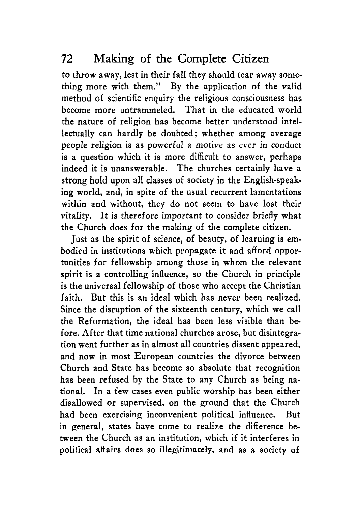to throw away, lest in their fall they should tear away something more with them." By the application of the valid method of scientific enquiry the religious consciousness has become more untrammeled. That in the educated world the nature of religion has become better understood intellectually can hardly be doubted; whether among average people religion is as powerful a motive as ever in conduct is a question which it is more difficult to answer, perhaps indeed it is unanswerable. The churches certainly have a strong hold upon all classes of society in the English-speaking world, and, in spite of the usual recurrent lamentations within and without, they do not seem to have lost their vitality. It is therefore important to consider briefly what the Church does for the making of the complete citizen.

Just as the spirit **of** science, of beauty, of learning is embodied in institutions which propagate it and afford opportunities for fellowship among those in whom the relevant spirit is **a** controlling influence, so the Church in principle is the universal fellowship of those who accept the Christian faith. But this is an ideal which has never been realized. Since the disruption of the sixteenth century, which we call the Reformation, the ideal has been less visible than before. After that time national churches arose, but disintegration went further as in almost all countries dissent appeared, and now in most European countries the divorce between Church and State **has** become so absolute that recognition has been refused by the State to any Church as being national. In a few cases even public worship has been either disallowed or supervised, on the ground that the Church had been exercising inconvenient political influence. But in general, states have come to realize the difference between the Church as an institution, which if it interferes in political affairs does so illegitimately, and as **a** society of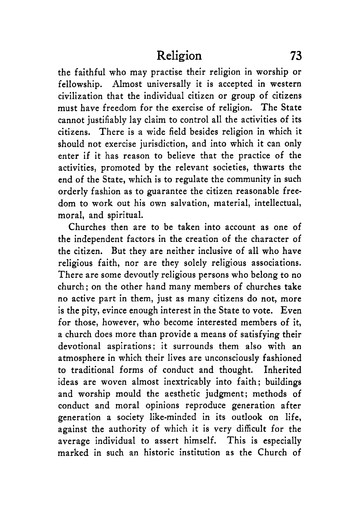the faithful who may practise their religion in worship or fellowship. Almost universally it is accepted in western civilization that the individual citizen or group of citizens must have freedom for the exercise of religion. The State cannot justifiably lay claim to control all the activities of its citizens. There is a wide field besides religion in which it should not exercise jurisdiction, and into which it can only enter if it has reason to believe that the practice of the activities, promoted by the relevant societies, thwarts the end of the State, which is to regulate the community in such orderly fashion as to guarantee the citizen reasonable freedom to work out his own salvation, material, intellectual, moral, and spiritual.

Churches then are to be taken into account as one of the independent factors in the creation of the character of the citizen. But they are neither inclusive of all who have religious faith, nor are they solely religious associations. There are some devoutly religious persons who belong to no church; on the other hand many members of churches take no active part in them, just as many citizens do not, more is the pity, evince enough interest in the State to vote. Even for those, however, who become interested members of it, a church does more than provide a means of satisfying their devotional aspirations; it surrounds them also with an atmosphere in which their lives are unconsciously fashioned to traditional forms of conduct and thought. Inherited ideas are woven almost inextricably into faith; buildings and worship mould the aesthetic judgment; methods of conduct and moral opinions reproduce generation after generation a society like-minded in its outlook on life, against the authority of which it is very difficult for the average individual to assert himself. This is especially marked in such an historic institution as the Church of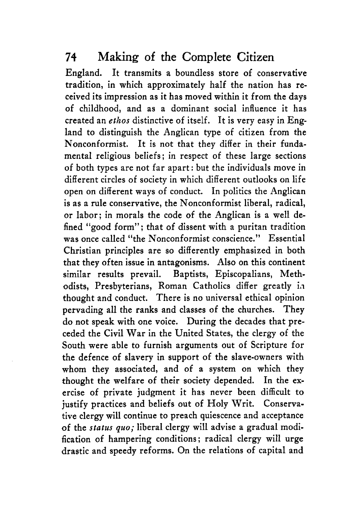England. It transmits a boundless store of conservative tradition, in which approximately half the nation has received its impression as it has moved within it from the days of childhood, and as a dominant social influence it has created an *ethos* distinctive of itself. It is very easy in England to distinguish the Anglican type of citizen from the Nonconformist. It is not that they differ in their fundamental religious beliefs ; in respect of these large sections of both types are not far apart: but the individuals move in different circles **of** society in which different outlooks on life open on different ways of conduct. In politics the Anglican is as a rule conservative, the Nonconformist liberal, radical, or labor; in morals the code of the Anglican **is** a well defined "good form"; that of dissent with a puritan tradition was once called "the Nonconformist conscience." Essential Christian principles are so differently emphasized in both that they often issue in antagonisms. Also on this continent similar results prevail. Baptists, Episcopalians, Methodists, Presbyterians, Roman Catholics differ greatly in thought and conduct. There is **no** universal ethical opinion pervading all the ranks and classes of the churches. They do not speak with one voice. During the decades that preceded the Civil War in the United States, the clergy of the South were able to furnish arguments out of Scripture for the defence of slavery in support of the slave-owners with whom they associated, and of a system on which they thought the welfare of their society depended. In the exercise of private judgment it has never been difficult to justify practices and beliefs out of Holy Writ. Conservative clergy will continue to preach quiescence and acceptance of the *status quo;* liberal clergy will advise a gradual modification of hampering conditions; radical clergy will urge drastic and speedy reforms. On the relations of capital and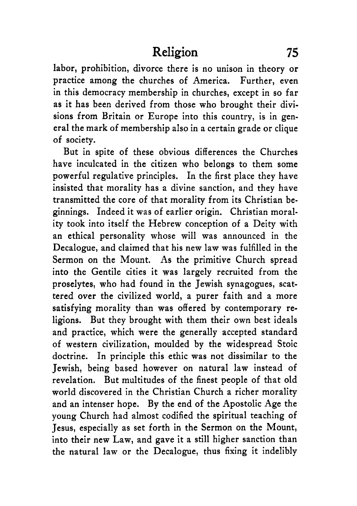labor, prohibition, divorce there is no unison in theory or practice among the churches of America. Further, even in this democracy membership in churches, except in so far as it has been derived from those who brought their divisions from Britain or Europe into this country, is in general the mark of membership also in a certain grade or clique of society.

But in spite of these obvious differences the Churches have inculcated in the citizen who belongs to them some powerful regulative principles. In the first place they have insisted that morality has a divine sanction, and they have transmitted the core of that morality from its Christian beginnings. Indeed it was of earlier origin. Christian morality took into itself the Hebrew conception of a Deity with an ethical personality whose will was announced in the Decalogue, and claimed that his new law was fulfilled in the Sermon on the Mount. **As** the primitive Church spread into the Gentile cities it was largely recruited from the proselytes, who had found in the Jewish synagogues, scattered over the civilized world, a purer faith and a more satisfying morality than was offered by contemporary religions. But they brought with them their own best ideals and practice, which were the generally accepted standard of western civilization, moulded by the widespread Stoic doctrine. In principle this ethic was not dissimilar to the Jewish, being based however on natural law instead of revelation. But multitudes of the finest people of that old world discovered in the Christian Church a richer morality and an intenser hope. By the end of the Apostolic Age the young Church had almost codified the spiritual teaching of Jesus, especially as set forth in the Sermon on the Mount, into their new Law, and gave it a still higher sanction than the natural law or the Decalogue, thus fixing it indelibly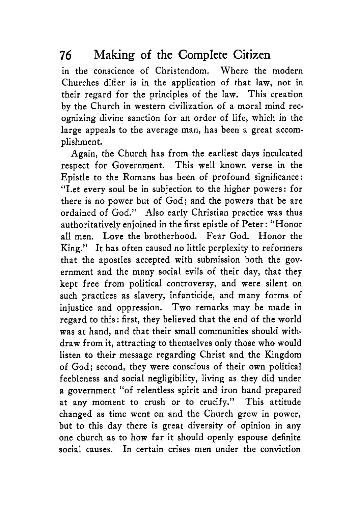in the conscience of Christendom. Where the modern Churches differ is in the application of that law, not in their regard for the principles of the law. This creation by the Church in western civilization of a moral mind recognizing divine sanction for an order of life, which in the large appeals to the average man, has been a great accomplishment.

Again, the Church has from the earliest days inculcated respect for Government. This well known verse in the Epistle to the Romans has been of profound significance: "Let every soul be in subjection to the higher powers: for there is no power but of God; and the powers that be are ordained of God." Also early Christian practice was thus authoritatively enjoined in the first epistle of Peter: "Honor all men. Love the brotherhood. Fear God. Honor the King." It has often caused no little perplexity to reformers that the apostles accepted with submission both the government and the many social evils of their day, that they kept free from political controversy, and were silent on such practices as slavery, infanticide, and many forms of injustice and oppression. Two remarks may be made in regard to this: first, they believed that the end of the world was at hand, and that their small communities should withdraw from it, attracting to themselves only those who would listen to their message regarding Christ and the Kingdom of God; second, they were conscious of their own political feebleness and social negligibility, living as they did under a government "of relentless spirit and iron hand prepared at any moment to crush or to crucify." This attitude changed as time went on and the Church grew in power, but to this day there is great diversity of opinion in any one church as to how far it should openly espouse definite social causes. In certain crises men under the conviction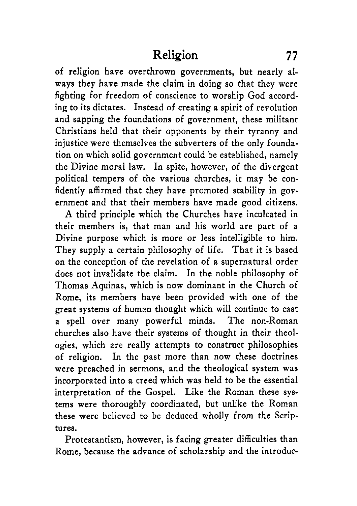of religion have overthrown governments, but nearly always they have made the claim in doing so that they were fighting for freedom of conscience to worship God according to its dictates. Instead of creating a spirit of revolution and sapping the foundations of government, these militant Christians held that their opponents by their tyranny and injustice were themselves the subverters of the only foundation on which solid government could be established, namely the Divine moral law. In spite, however, of the divergent political tempers of the various churches, it may be confidently affirmed that they have promoted stability in government and that their members have made good citizens.

**A** third principle which the Churches have inculcated in their members is, that man and his world are part of a Divine purpose which is more or less intelligible to him. They supply a certain philosophy of life. That it is based on the conception of the revelation of a supernatural order does not invalidate the claim. In the noble philosophy of Thomas Aquinas, which is now dominant in the Church of Rome, its members have been provided with one of the great systems of human thought which will continue to cast a spell over many powerful minds. The non-Roman churches also have their systems of thought in their theologies, which are really attempts to construct philosophies of religion. In the past more than now these doctrines were preached in sermons, and the theological system was incorporated into a creed which was held to be the essential interpretation of the Gospel. Like the Roman these systems were thoroughly coordinated, but unlike the Roman these were believed to be deduced wholly from the Scriptures.

Protestantism, however, is facing greater difficulties than Rome, because the advance of scholarship and the introduc-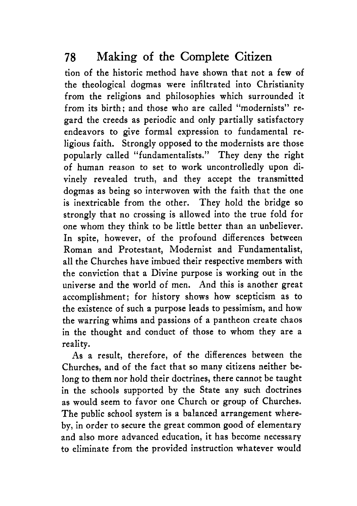tion of the historic method have shown that not a few of the theological dogmas were infiltrated into Christianity from the religions and philosophies which surrounded it from its birth; and those who are called "modernists" regard the creeds as periodic and only partially satisfactory endeavors to give formal expression to fundamental religious faith. Strongly opposed to the modernists are those popularly called "fundamentalists." They deny the right of human reason to set to work uncontrolledly upon divinely revealed truth, and they accept the transmitted dogmas as being so interwoven with the faith that the one is inextricable from the other. They hold the bridge so strongly that no crossing is allowed into the true fold for one whom they think to be little better than an unbeliever. In spite, however, of the profound differences between Roman and Protestant, Modernist and Fundamentalist, all the Churches have imbued their respective members with the conviction that a Divine purpose is working out in the universe and the world of men. And this is another great accomplishment; for history shows how scepticism as to the existence of such a purpose leads to pessimism, and how the warring whims and passions of a pantheon create chaos in the thought and conduct of those to whom they are a reality.

As a result, therefore, of the differences between the Churches, and of the fact that so many citizens neither belong to them nor hold their doctrines, there cannot be taught in the schools supported by the State any such doctrines as would seem to favor one Church or group of Churches. The public school system is a balanced arrangement whereby, in order to secure the great common good of elementary and also more advanced education, it has become necessary *to* eliminate from the provided instruction whatever would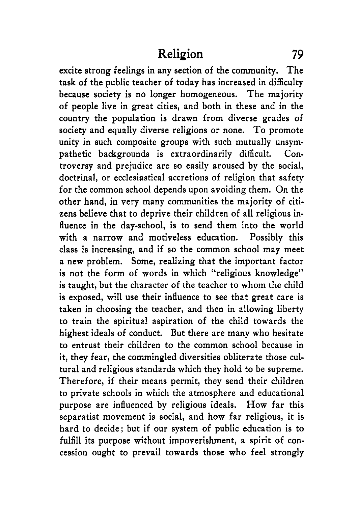excite strong feelings in any section of the community. The task of the public teacher of today has increased in difficulty because society is no longer homogeneous. The majority of people live in great cities, and both in these and in the country the population is drawn from diverse grades of society and equally diverse religions or none. To promote unity in such composite groups with such mutually unsympathetic backgrounds is extraordinarily difficult. Controversy and prejudice are so easily aroused by the social, doctrinal, or ecclesiastical accretions of religion that safety for the common school depends upon avoiding them. On the other hand, in very many communities the majority of citizens believe that to deprive their children of all religious influence in the day-school, is to send them into the world with a narrow and motiveless education. Possibly this class is increasing, and if so the common school may meet a new problem. Some, realizing that the important factor is not the form of words in which "religious knowledge" is taught, but the character of the teacher to whom the child is exposed, will use their influence to see that great care is taken in choosing the teacher, and then in allowing liberty to train the spiritual aspiration of the child towards the highest ideals of conduct. But there are many who hesitate to entrust their children to the common school because in it, they fear, the commingled diversities obliterate those cultural and religious standards which they hold to be supreme. Therefore, if their means permit, they send their children to private schools in which the atmosphere and educational purpose are influenced by religious ideals. How far this separatist movement is social, and how far religious, it is hard to decide; but if our system of public education is to fulfill its purpose without impoverishment, a spirit of concession ought to prevail towards those who feel strongly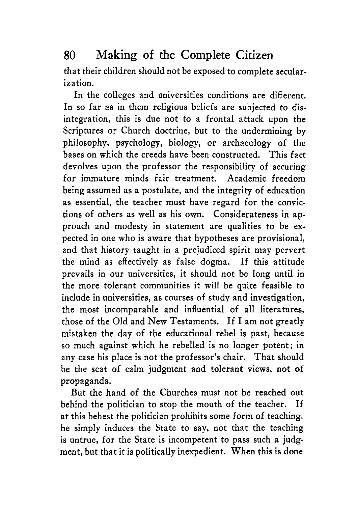that their children should not be exposed to complete secularization.

In the colleges and universities conditions are different. In so far as in them religious beliefs are subjected to disintegration, this is due not to a frontal attack upon the Scriptures or Church doctrine, but to the undermining by philosophy, psychology, biology, or archaeology of the bases on which the creeds have been constructed. This fact devolves upon the professor the responsibility of securing for immature minds fair treatment. Academic freedom being assumed as a postulate, and the integrity of education as essential, the teacher must have regard for the convictions of others as well as his own. Considerateness in approach and modesty in statement are qualities to be expected in one who is aware that hypotheses are provisional, and that history taught in a prejudiced spirit may pervert the mind as effectively as false dogma. If this attitude prevails in our universities, it should not be long until in the more tolerant communities it will be quite feasible to include in universities, as courses **of** study and investigation, the most incomparable and influential of all literatures, those of the Old and New Testaments. If I am not greatly mistaken the day of the educational rebel is past, because so much against which he rebelled is **no** longer potent; in any case his place is not the professor's chair. That should be the seat of calm judgment and tolerant views, not of propaganda.

But the hand of the Churches must not be reached out behind the politician to stop the mouth of the teacher. If at this behest the politician prohibits some form of teaching, he simply induces the State to say, not that the teaching is untrue, for the State is incompetent to pass such a judgment, but that it is politically inexpedient. When this is done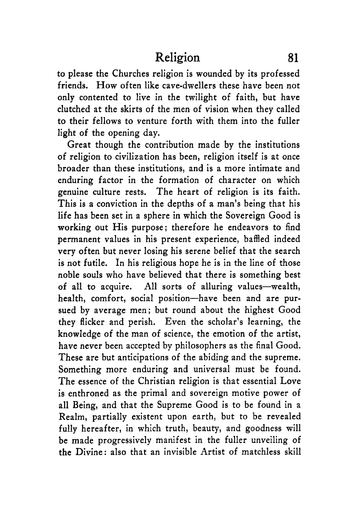to please the Churches religion is wounded by its professed friends. How often like cave-dwellers these have been not only contented to live in the twilight of faith, but have clutched at the skirts of the men of vision when they called to their fellows to venture forth with them into the fuller light of the opening day.

Great though the contribution made by the institutions of religion to civilization has been, religion itself is at once broader than these institutions, and is a more intimate and enduring factor in the formation of character on which genuine culture rests. The heart of religion is its faith. This is a conviction in the depths of a man's being that his life has been set in a sphere in which the Sovereign Good is working out His purpose; therefore he endeavors to find permanent values in his present experience, baffled indeed very often but never losing his serene belief that the search is not futile. **In** his religious hope he is in the line of those noble souls who have believed that there is something best of all to acquire. All sorts of alluring values-wealth, health, comfort, social position-have been and are pursued by average men; but round about the highest Good they flicker and perish. Even the scholar's learning, the knowledge of the man of science, the emotion of the artist, have never been accepted by philosophers as the final Good. These are but anticipations of the abiding and the supreme. Something more enduring and universal must be found. The essence of the Christian religion is that essential Love is enthroned as the primal and sovereign motive power of all Being, and that the Supreme Good is to be found in a Realm, partially existent upon earth, but to be revealed fully hereafter, in which truth, beauty, and goodness will be made progressively manifest in the fuller unveiling of the Divine: also that an invisible Artist of matchless skill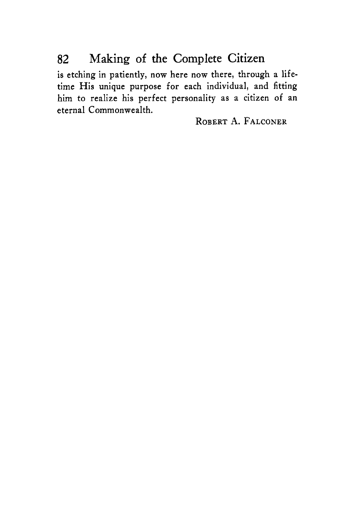is etching in patiently, now here now there, through a lifetime His unique purpose for each individual, and fitting him to realize his perfect personality as a citizen of an eternal Commonwealth.

**ROBERT A. FALCONER**